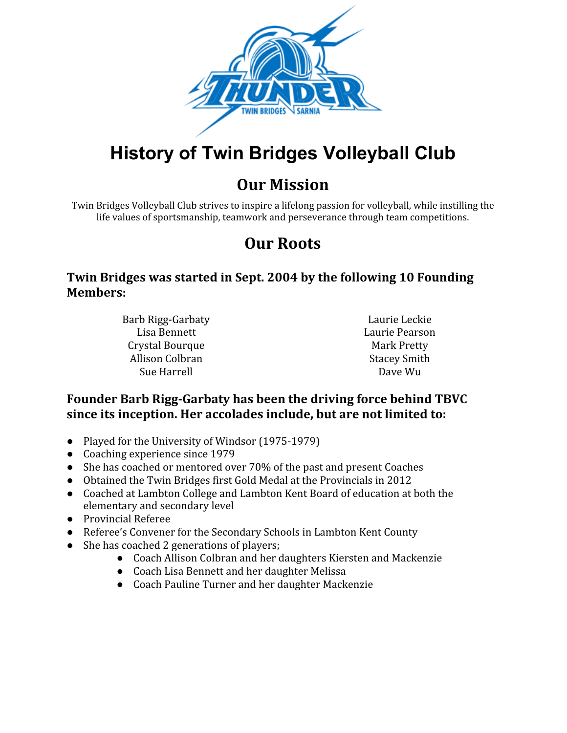

# **History of Twin Bridges Volleyball Club**

## **Our Mission**

Twin Bridges Volleyball Club strives to inspire a lifelong passion for volleyball, while instilling the life values of sportsmanship, teamwork and perseverance through team competitions.

# **Our Roots**

#### **Twin Bridges was started in Sept. 2004 by the following 10 Founding Members:**

Barb Rigg-Garbaty Lisa Bennett Crystal Bourque Allison Colbran Sue Harrell

Laurie Leckie Laurie Pearson Mark Pretty Stacey Smith Dave Wu

#### **Founder Barb Rigg-Garbaty has been the driving force behind TBVC since its inception. Her accolades include, but are not limited to:**

- Played for the University of Windsor (1975-1979)
- Coaching experience since 1979
- She has coached or mentored over 70% of the past and present Coaches
- Obtained the Twin Bridges first Gold Medal at the Provincials in 2012
- Coached at Lambton College and Lambton Kent Board of education at both the elementary and secondary level
- Provincial Referee
- Referee's Convener for the Secondary Schools in Lambton Kent County
- She has coached 2 generations of players;
	- Coach Allison Colbran and her daughters Kiersten and Mackenzie
	- Coach Lisa Bennett and her daughter Melissa
	- Coach Pauline Turner and her daughter Mackenzie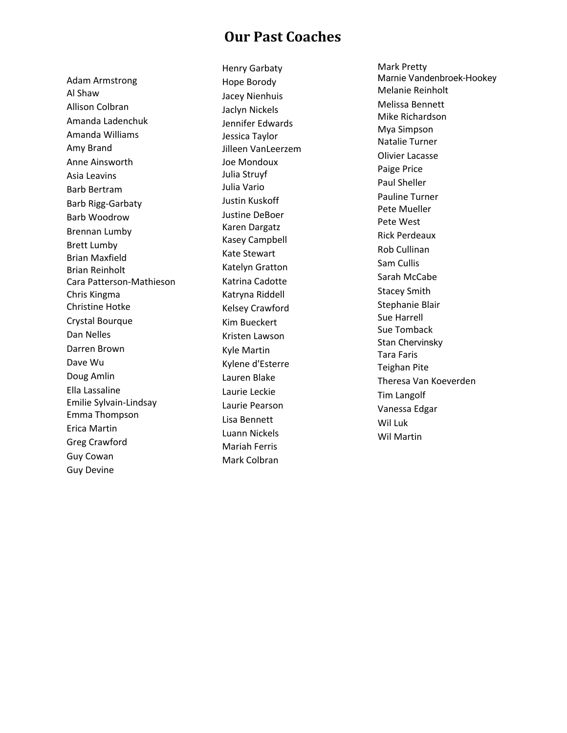#### **Our Past Coaches**

Adam Armstrong Al S h a w Allison Colbran Amanda Ladenchuk Amanda Williams A m y B r a n d Anne Ainsworth A sia L e a vin s Barb Bertram Barb Rigg-Garbaty Barb Woodrow Brennan Lumby Brett Lumby B ria n M a x field B ria n R ein h olt Cara Patterson-Mathieson C h ris Kin g m a Christine Hotke Crystal Bourque Dan Nelles Darren Brown Dave Wu Doug Amlin Ella L a s s alin e Emilie Sylvain-Lindsay E m m a T h o m p s o n Erica Martin Greg Crawford Guy Cowan G u y D e vin e

Henry Garbaty Hope Borody Jacey Nienhuis J a cly n Nic k els Jennifer Edwards Jessica Taylor Jilleen VanLeerzem Joe Mondoux Julia Struyf J ulia V a rio Justin Kuskoff Justine DeBoer Karen Dargatz Kasey Campbell Kate Stewart Katelyn Gratton Katrina Cadotte Katryna Riddell Kelsey Crawford Kim Bueckert Kristen Lawson Kyle Martin Kylene d'Esterre Lauren Blake Laurie Leckie Laurie Pearson Lisa Bennett Luann Nickels Mariah Ferris Mark Colbran

Mark Pretty Marnie Vandenbroek-Hookey Melanie Reinholt Melissa Bennett Mike Richardson Mya Simpson Natalie Turner Olivier Lacasse Paige Price Paul Sheller Pauline Turner Pete Mueller Pete West Rick Perdeaux R o b C ullin a n S a m C ullis Sarah McCabe Stacey Smith Stephanie Blair Sue Harrell Sue Tomba c k Stan Chervinsky Tara Faris T eig h a n Pit e Theresa Van Koeverden Tim Langolf Vanessa Edgar Wil L u k Wil Martin